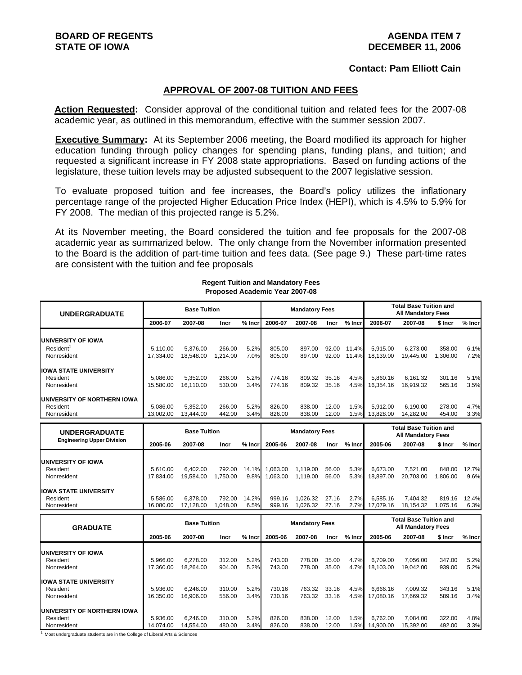### **Contact: Pam Elliott Cain**

### **APPROVAL OF 2007-08 TUITION AND FEES**

**Action Requested:** Consider approval of the conditional tuition and related fees for the 2007-08 academic year, as outlined in this memorandum, effective with the summer session 2007.

**Executive Summary:** At its September 2006 meeting, the Board modified its approach for higher education funding through policy changes for spending plans, funding plans, and tuition; and requested a significant increase in FY 2008 state appropriations. Based on funding actions of the legislature, these tuition levels may be adjusted subsequent to the 2007 legislative session.

To evaluate proposed tuition and fee increases, the Board's policy utilizes the inflationary percentage range of the projected Higher Education Price Index (HEPI), which is 4.5% to 5.9% for FY 2008. The median of this projected range is 5.2%.

At its November meeting, the Board considered the tuition and fee proposals for the 2007-08 academic year as summarized below. The only change from the November information presented to the Board is the addition of part-time tuition and fees data. (See page 9.) These part-time rates are consistent with the tuition and fee proposals

| <b>UNDERGRADUATE</b>                                              |                       | <b>Base Tuition</b>   |                    |               |                      | <b>Mandatory Fees</b> |                |                | <b>Total Base Tuition and</b><br><b>All Mandatory Fees</b> |                                                            |                    |               |
|-------------------------------------------------------------------|-----------------------|-----------------------|--------------------|---------------|----------------------|-----------------------|----------------|----------------|------------------------------------------------------------|------------------------------------------------------------|--------------------|---------------|
|                                                                   | 2006-07               | 2007-08               | Incr               | $%$ Incr      | 2006-07              | 2007-08               | Incr           | % Incr         | 2006-07                                                    | 2007-08                                                    | \$ Incr            | $%$ Incr      |
| <b>UNIVERSITY OF IOWA</b><br>Resident <sup>1</sup><br>Nonresident | 5.110.00<br>17.334.00 | 5,376.00<br>18.548.00 | 266.00<br>1.214.00 | 5.2%<br>7.0%  | 805.00<br>805.00     | 897.00<br>897.00      | 92.00<br>92.00 | 11.4%<br>11.4% | 5.915.00<br>18.139.00                                      | 6,273.00<br>19,445.00                                      | 358.00<br>1.306.00 | 6.1%<br>7.2%  |
| <b>IOWA STATE UNIVERSITY</b><br>Resident<br>Nonresident           | 5,086.00<br>15,580.00 | 5,352.00<br>16.110.00 | 266.00<br>530.00   | 5.2%<br>3.4%  | 774.16<br>774.16     | 809.32<br>809.32      | 35.16<br>35.16 | 4.5%<br>4.5%   | 5,860.16<br>16.354.16                                      | 6,161.32<br>16.919.32                                      | 301.16<br>565.16   | 5.1%<br>3.5%  |
| UNIVERSITY OF NORTHERN IOWA<br>Resident<br>Nonresident            | 5.086.00<br>13.002.00 | 5.352.00<br>13,444.00 | 266.00<br>442.00   | 5.2%<br>3.4%  | 826.00<br>826.00     | 838.00<br>838.00      | 12.00<br>12.00 | 1.5%<br>1.5%   | 5.912.00<br>13,828.00                                      | 6.190.00<br>14,282.00                                      | 278.00<br>454.00   | 4.7%<br>3.3%  |
| <b>UNDERGRADUATE</b>                                              |                       | <b>Base Tuition</b>   |                    |               |                      | <b>Mandatory Fees</b> |                |                |                                                            | <b>Total Base Tuition and</b>                              |                    |               |
| <b>Engineering Upper Division</b>                                 | 2005-06               | 2007-08               | Incr               | $%$ Incr      | 2005-06              | 2007-08               | Incr           | $%$ Incr       | 2005-06                                                    | <b>All Mandatory Fees</b><br>2007-08                       | \$ Incr            | % Incr        |
| <b>UNIVERSITY OF IOWA</b><br>Resident<br>Nonresident              | 5.610.00<br>17,834.00 | 6.402.00<br>19,584.00 | 792.00<br>1.750.00 | 14.1%<br>9.8% | 1,063.00<br>1.063.00 | 1,119.00<br>1,119.00  | 56.00<br>56.00 | 5.3%<br>5.3%   | 6,673.00<br>18,897.00                                      | 7,521.00<br>20,703.00                                      | 848.00<br>1,806.00 | 12.7%<br>9.6% |
| <b>IOWA STATE UNIVERSITY</b><br>Resident<br>Nonresident           | 5.586.00<br>16,080.00 | 6.378.00<br>17,128.00 | 792.00<br>1,048.00 | 14.2%<br>6.5% | 999.16<br>999.16     | 1.026.32<br>1,026.32  | 27.16<br>27.16 | 2.7%<br>2.7%   | 6.585.16<br>17.079.16                                      | 7.404.32<br>18,154.32                                      | 819.16<br>1,075.16 | 12.4%<br>6.3% |
| <b>GRADUATE</b>                                                   |                       | <b>Base Tuition</b>   |                    |               |                      | <b>Mandatory Fees</b> |                |                |                                                            | <b>Total Base Tuition and</b><br><b>All Mandatory Fees</b> |                    |               |
|                                                                   | 2005-06               | 2007-08               | Incr               | $%$ Incr      | 2005-06              | 2007-08               | Incr           | $%$ Incr       | 2005-06                                                    | 2007-08                                                    | \$ Incr            | % Incr        |
| <b>UNIVERSITY OF IOWA</b><br>Resident<br>Nonresident              | 5.966.00<br>17.360.00 | 6.278.00<br>18.264.00 | 312.00<br>904.00   | 5.2%<br>5.2%  | 743.00<br>743.00     | 778.00<br>778.00      | 35.00<br>35.00 | 4.7%<br>4.7%   | 6.709.00<br>18.103.00                                      | 7.056.00<br>19.042.00                                      | 347.00<br>939.00   | 5.2%<br>5.2%  |
| <b>IOWA STATE UNIVERSITY</b><br>Resident<br>Nonresident           | 5.936.00<br>16,350.00 | 6.246.00<br>16,906.00 | 310.00<br>556.00   | 5.2%<br>3.4%  | 730.16<br>730.16     | 763.32<br>763.32      | 33.16<br>33.16 | 4.5%<br>4.5%   | 6.666.16<br>17,080.16                                      | 7.009.32<br>17.669.32                                      | 343.16<br>589.16   | 5.1%<br>3.4%  |
| UNIVERSITY OF NORTHERN IOWA<br>Resident<br>Nonresident            | 5.936.00<br>14,074.00 | 6.246.00<br>14,554.00 | 310.00<br>480.00   | 5.2%<br>3.4%  | 826.00<br>826.00     | 838.00<br>838.00      | 12.00<br>12.00 | 1.5%<br>1.5%   | 6.762.00<br>14,900.00                                      | 7.084.00<br>15,392.00                                      | 322.00<br>492.00   | 4.8%<br>3.3%  |

#### **Regent Tuition and Mandatory Fees Proposed Academic Year 2007-08**

Most undergraduate students are in the College of Liberal Arts & Sciences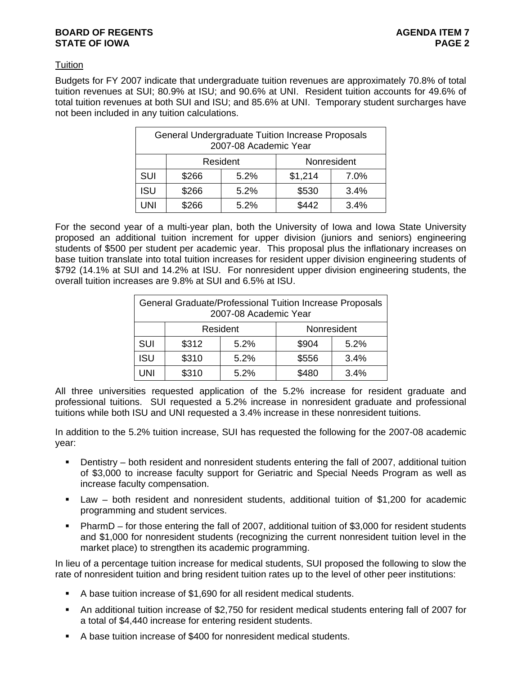### **BOARD OF REGENTS AGENTS AGENERATION CONSUMING AGENDA ITEM 7 STATE OF IOWA** PAGE 2

# **Tuition**

Budgets for FY 2007 indicate that undergraduate tuition revenues are approximately 70.8% of total tuition revenues at SUI; 80.9% at ISU; and 90.6% at UNI. Resident tuition accounts for 49.6% of total tuition revenues at both SUI and ISU; and 85.6% at UNI. Temporary student surcharges have not been included in any tuition calculations.

|                                       | <b>General Undergraduate Tuition Increase Proposals</b><br>2007-08 Academic Year |       |         |      |  |  |  |  |  |
|---------------------------------------|----------------------------------------------------------------------------------|-------|---------|------|--|--|--|--|--|
| Resident<br>Nonresident               |                                                                                  |       |         |      |  |  |  |  |  |
| <b>SUI</b>                            | \$266                                                                            | 5.2%  | \$1,214 | 7.0% |  |  |  |  |  |
| <b>ISU</b>                            | \$266                                                                            | \$530 | 3.4%    |      |  |  |  |  |  |
| \$266<br>\$442<br>UNI<br>5.2%<br>3.4% |                                                                                  |       |         |      |  |  |  |  |  |

For the second year of a multi-year plan, both the University of Iowa and Iowa State University proposed an additional tuition increment for upper division (juniors and seniors) engineering students of \$500 per student per academic year. This proposal plus the inflationary increases on base tuition translate into total tuition increases for resident upper division engineering students of \$792 (14.1% at SUI and 14.2% at ISU. For nonresident upper division engineering students, the overall tuition increases are 9.8% at SUI and 6.5% at ISU.

|                                              | General Graduate/Professional Tuition Increase Proposals<br>2007-08 Academic Year |      |       |      |  |  |  |  |  |
|----------------------------------------------|-----------------------------------------------------------------------------------|------|-------|------|--|--|--|--|--|
| Nonresident<br>Resident                      |                                                                                   |      |       |      |  |  |  |  |  |
| SUI                                          | \$312                                                                             | 5.2% | \$904 | 5.2% |  |  |  |  |  |
| <b>ISU</b><br>\$310<br>\$556<br>3.4%<br>5.2% |                                                                                   |      |       |      |  |  |  |  |  |
| \$310<br>\$480<br>3.4%<br>UNI<br>5.2%        |                                                                                   |      |       |      |  |  |  |  |  |

All three universities requested application of the 5.2% increase for resident graduate and professional tuitions. SUI requested a 5.2% increase in nonresident graduate and professional tuitions while both ISU and UNI requested a 3.4% increase in these nonresident tuitions.

In addition to the 5.2% tuition increase, SUI has requested the following for the 2007-08 academic year:

- Dentistry both resident and nonresident students entering the fall of 2007, additional tuition of \$3,000 to increase faculty support for Geriatric and Special Needs Program as well as increase faculty compensation.
- Law both resident and nonresident students, additional tuition of \$1,200 for academic programming and student services.
- PharmD for those entering the fall of 2007, additional tuition of \$3,000 for resident students and \$1,000 for nonresident students (recognizing the current nonresident tuition level in the market place) to strengthen its academic programming.

In lieu of a percentage tuition increase for medical students, SUI proposed the following to slow the rate of nonresident tuition and bring resident tuition rates up to the level of other peer institutions:

- A base tuition increase of \$1,690 for all resident medical students.
- An additional tuition increase of \$2,750 for resident medical students entering fall of 2007 for a total of \$4,440 increase for entering resident students.
- A base tuition increase of \$400 for nonresident medical students.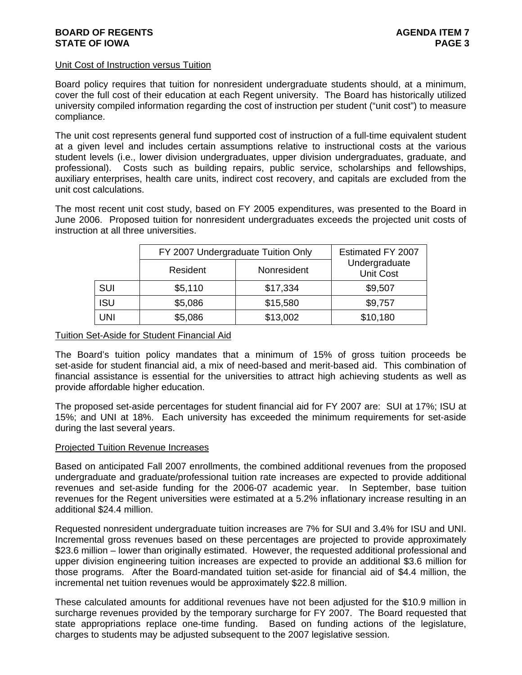### Unit Cost of Instruction versus Tuition

Board policy requires that tuition for nonresident undergraduate students should, at a minimum, cover the full cost of their education at each Regent university. The Board has historically utilized university compiled information regarding the cost of instruction per student ("unit cost") to measure compliance.

The unit cost represents general fund supported cost of instruction of a full-time equivalent student at a given level and includes certain assumptions relative to instructional costs at the various student levels (i.e., lower division undergraduates, upper division undergraduates, graduate, and professional). Costs such as building repairs, public service, scholarships and fellowships, auxiliary enterprises, health care units, indirect cost recovery, and capitals are excluded from the unit cost calculations.

The most recent unit cost study, based on FY 2005 expenditures, was presented to the Board in June 2006. Proposed tuition for nonresident undergraduates exceeds the projected unit costs of instruction at all three universities.

|            | FY 2007 Undergraduate Tuition Only | Estimated FY 2007 |                                   |
|------------|------------------------------------|-------------------|-----------------------------------|
|            | Resident                           | Nonresident       | Undergraduate<br><b>Unit Cost</b> |
| <b>SUI</b> | \$5,110                            | \$17,334          | \$9,507                           |
| <b>ISU</b> | \$5,086                            | \$15,580          | \$9,757                           |
| UNI        | \$5,086                            | \$13,002          | \$10,180                          |

# Tuition Set-Aside for Student Financial Aid

The Board's tuition policy mandates that a minimum of 15% of gross tuition proceeds be set-aside for student financial aid, a mix of need-based and merit-based aid. This combination of financial assistance is essential for the universities to attract high achieving students as well as provide affordable higher education.

The proposed set-aside percentages for student financial aid for FY 2007 are: SUI at 17%; ISU at 15%; and UNI at 18%. Each university has exceeded the minimum requirements for set-aside during the last several years.

### Projected Tuition Revenue Increases

Based on anticipated Fall 2007 enrollments, the combined additional revenues from the proposed undergraduate and graduate/professional tuition rate increases are expected to provide additional revenues and set-aside funding for the 2006-07 academic year. In September, base tuition revenues for the Regent universities were estimated at a 5.2% inflationary increase resulting in an additional \$24.4 million.

Requested nonresident undergraduate tuition increases are 7% for SUI and 3.4% for ISU and UNI. Incremental gross revenues based on these percentages are projected to provide approximately \$23.6 million – lower than originally estimated. However, the requested additional professional and upper division engineering tuition increases are expected to provide an additional \$3.6 million for those programs. After the Board-mandated tuition set-aside for financial aid of \$4.4 million, the incremental net tuition revenues would be approximately \$22.8 million.

These calculated amounts for additional revenues have not been adjusted for the \$10.9 million in surcharge revenues provided by the temporary surcharge for FY 2007. The Board requested that state appropriations replace one-time funding. Based on funding actions of the legislature, charges to students may be adjusted subsequent to the 2007 legislative session.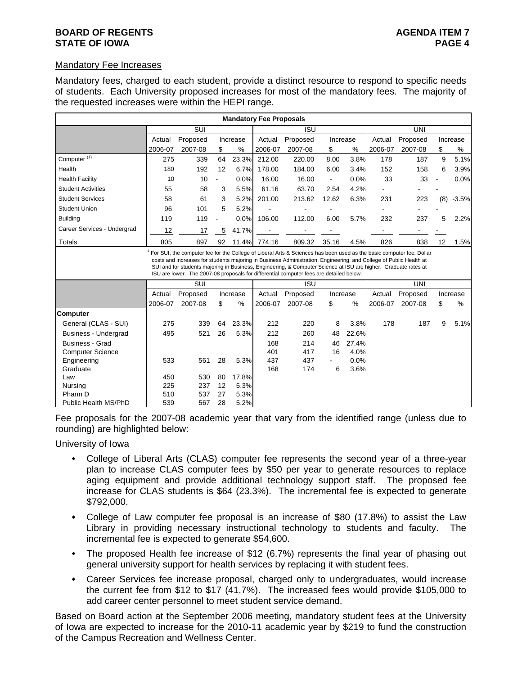### **BOARD OF REGENTS AGENTS AGENERATION CONSUMING AGENDA ITEM 7 STATE OF IOWA** PAGE 4

### Mandatory Fee Increases

Mandatory fees, charged to each student, provide a distinct resource to respond to specific needs of students. Each University proposed increases for most of the mandatory fees. The majority of the requested increases were within the HEPI range.

|                             |            |                                                                                                                                                                                                                                                                                                                                  |                          |          | <b>Mandatory Fee Proposals</b> |            |                |       |         |            |     |          |
|-----------------------------|------------|----------------------------------------------------------------------------------------------------------------------------------------------------------------------------------------------------------------------------------------------------------------------------------------------------------------------------------|--------------------------|----------|--------------------------------|------------|----------------|-------|---------|------------|-----|----------|
|                             |            | $\overline{\text{SUI}}$                                                                                                                                                                                                                                                                                                          |                          |          |                                | <b>ISU</b> |                |       | UNI     |            |     |          |
|                             | Actual     | Proposed                                                                                                                                                                                                                                                                                                                         |                          | Increase | Actual                         | Proposed   | Increase       |       | Actual  | Proposed   |     | Increase |
|                             | 2006-07    | 2007-08                                                                                                                                                                                                                                                                                                                          | \$                       | %        | 2006-07                        | 2007-08    | \$             | %     | 2006-07 | 2007-08    | \$  | %        |
| Computer <sup>(1)</sup>     | 275        | 339                                                                                                                                                                                                                                                                                                                              | 64                       | 23.3%    | 212.00                         | 220.00     | 8.00           | 3.8%  | 178     | 187        | 9   | 5.1%     |
| Health                      | 180        | 192                                                                                                                                                                                                                                                                                                                              | 12                       | 6.7%     | 178.00                         | 184.00     | 6.00           | 3.4%  | 152     | 158        | 6   | 3.9%     |
| <b>Health Facility</b>      | 10         | 10                                                                                                                                                                                                                                                                                                                               | $\overline{a}$           | 0.0%     | 16.00                          | 16.00      | $\blacksquare$ | 0.0%  | 33      | 33         |     | 0.0%     |
| <b>Student Activities</b>   | 55         | 58                                                                                                                                                                                                                                                                                                                               | 3                        | 5.5%     | 61.16                          | 63.70      | 2.54           | 4.2%  |         |            |     |          |
| <b>Student Services</b>     | 58         | 61                                                                                                                                                                                                                                                                                                                               | 3                        | 5.2%     | 201.00                         | 213.62     | 12.62          | 6.3%  | 231     | 223        | (8) | $-3.5%$  |
| <b>Student Union</b>        | 96         | 101                                                                                                                                                                                                                                                                                                                              | 5                        | 5.2%     |                                |            |                |       |         |            |     |          |
| <b>Building</b>             | 119        | 119                                                                                                                                                                                                                                                                                                                              | $\overline{\phantom{a}}$ | 0.0%     | 106.00                         | 112.00     | 6.00           | 5.7%  | 232     | 237        | 5   | 2.2%     |
| Career Services - Undergrad | 12         | 17                                                                                                                                                                                                                                                                                                                               | 5                        | 41.7%    |                                |            |                |       |         |            |     |          |
| Totals                      | 805        | 897                                                                                                                                                                                                                                                                                                                              | 92                       | 11.4%    | 774.16                         | 809.32     | 35.16          | 4.5%  | 826     | 838        | 12  | 1.5%     |
|                             |            | costs and increases for students majoring in Business Administration, Engineering, and College of Public Health at<br>SUI and for students majoring in Business, Engineering, & Computer Science at ISU are higher. Graduate rates at<br>ISU are lower. The 2007-08 proposals for differential computer fees are detailed below. |                          |          |                                |            |                |       |         |            |     |          |
|                             |            | SUI                                                                                                                                                                                                                                                                                                                              |                          |          |                                | <b>ISU</b> |                |       |         | <b>UNI</b> |     |          |
|                             | Actual     | Proposed                                                                                                                                                                                                                                                                                                                         |                          | Increase | Actual                         | Proposed   | Increase       |       | Actual  | Proposed   |     | Increase |
|                             | 2006-07    | 2007-08                                                                                                                                                                                                                                                                                                                          | \$                       | %        | 2006-07                        | 2007-08    | \$             | %     | 2006-07 | 2007-08    | \$  | %        |
| <b>Computer</b>             |            |                                                                                                                                                                                                                                                                                                                                  |                          |          |                                |            |                |       |         |            |     |          |
| General (CLAS - SUI)        | 275        | 339                                                                                                                                                                                                                                                                                                                              | 64                       | 23.3%    | 212                            | 220        | 8              | 3.8%  | 178     | 187        | 9   | 5.1%     |
| <b>Business - Undergrad</b> | 495        | 521                                                                                                                                                                                                                                                                                                                              | 26                       | 5.3%     | 212                            | 260        | 48             | 22.6% |         |            |     |          |
| <b>Business - Grad</b>      |            |                                                                                                                                                                                                                                                                                                                                  |                          |          | 168                            | 214        | 46             | 27.4% |         |            |     |          |
| <b>Computer Science</b>     |            |                                                                                                                                                                                                                                                                                                                                  |                          |          | 401                            | 417        | 16             | 4.0%  |         |            |     |          |
| Engineering                 | 533        | 561                                                                                                                                                                                                                                                                                                                              | 28                       | 5.3%     | 437                            | 437        |                | 0.0%  |         |            |     |          |
| Graduate                    |            |                                                                                                                                                                                                                                                                                                                                  |                          | 17.8%    | 168                            | 174        | 6              | 3.6%  |         |            |     |          |
| Law<br>Nursing              | 450<br>225 | 530<br>237                                                                                                                                                                                                                                                                                                                       | 80<br>12                 | 5.3%     |                                |            |                |       |         |            |     |          |
| Pharm D                     | 510        | 537                                                                                                                                                                                                                                                                                                                              | 27                       | 5.3%     |                                |            |                |       |         |            |     |          |
| Public Health MS/PhD        | 539        | 567                                                                                                                                                                                                                                                                                                                              | 28                       | 5.2%     |                                |            |                |       |         |            |     |          |

Fee proposals for the 2007-08 academic year that vary from the identified range (unless due to rounding) are highlighted below:

University of Iowa

- College of Liberal Arts (CLAS) computer fee represents the second year of a three-year plan to increase CLAS computer fees by \$50 per year to generate resources to replace aging equipment and provide additional technology support staff. The proposed fee increase for CLAS students is \$64 (23.3%). The incremental fee is expected to generate \$792,000.
- College of Law computer fee proposal is an increase of \$80 (17.8%) to assist the Law Library in providing necessary instructional technology to students and faculty. The incremental fee is expected to generate \$54,600.
- The proposed Health fee increase of \$12 (6.7%) represents the final year of phasing out general university support for health services by replacing it with student fees.
- Career Services fee increase proposal, charged only to undergraduates, would increase the current fee from \$12 to \$17 (41.7%). The increased fees would provide \$105,000 to add career center personnel to meet student service demand.

Based on Board action at the September 2006 meeting, mandatory student fees at the University of Iowa are expected to increase for the 2010-11 academic year by \$219 to fund the construction of the Campus Recreation and Wellness Center.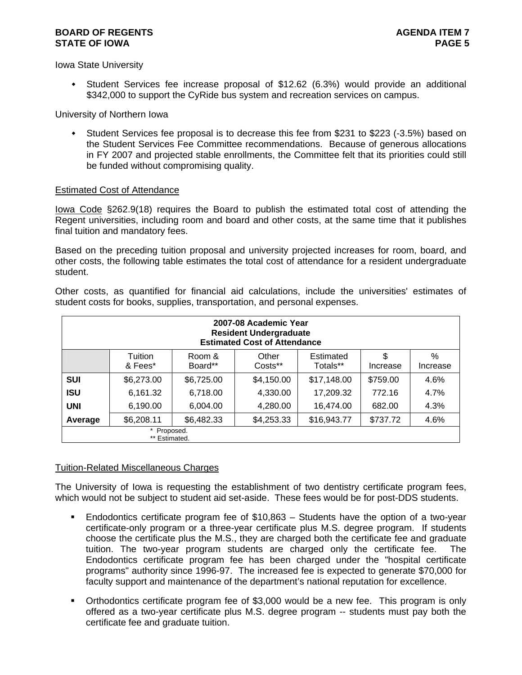### **BOARD OF REGENTS AGENTS AGENDA ITEM 7 STATE OF IOWA** PAGE 5

Iowa State University

 Student Services fee increase proposal of \$12.62 (6.3%) would provide an additional \$342,000 to support the CyRide bus system and recreation services on campus.

University of Northern Iowa

 Student Services fee proposal is to decrease this fee from \$231 to \$223 (-3.5%) based on the Student Services Fee Committee recommendations. Because of generous allocations in FY 2007 and projected stable enrollments, the Committee felt that its priorities could still be funded without compromising quality.

# Estimated Cost of Attendance

Iowa Code §262.9(18) requires the Board to publish the estimated total cost of attending the Regent universities, including room and board and other costs, at the same time that it publishes final tuition and mandatory fees.

Based on the preceding tuition proposal and university projected increases for room, board, and other costs, the following table estimates the total cost of attendance for a resident undergraduate student.

Other costs, as quantified for financial aid calculations, include the universities' estimates of student costs for books, supplies, transportation, and personal expenses.

|            | 2007-08 Academic Year<br><b>Resident Undergraduate</b><br><b>Estimated Cost of Attendance</b> |                   |                  |                       |                |               |  |  |  |  |  |
|------------|-----------------------------------------------------------------------------------------------|-------------------|------------------|-----------------------|----------------|---------------|--|--|--|--|--|
|            | Tuition<br>& Fees*                                                                            | Room &<br>Board** | Other<br>Costs** | Estimated<br>Totals** | \$<br>Increase | %<br>Increase |  |  |  |  |  |
| <b>SUI</b> | \$6,273.00                                                                                    | \$6,725.00        | \$4,150.00       | \$17,148.00           | \$759.00       | 4.6%          |  |  |  |  |  |
| <b>ISU</b> | 6,161.32                                                                                      | 6,718.00          | 4,330.00         | 17,209.32             | 772.16         | 4.7%          |  |  |  |  |  |
| <b>UNI</b> | 6,190.00                                                                                      | 6,004.00          | 4,280.00         | 16,474.00             | 682.00         | 4.3%          |  |  |  |  |  |
| Average    | \$6,482.33<br>\$6,208.11<br>\$4,253.33<br>\$16,943.77<br>\$737.72<br>4.6%                     |                   |                  |                       |                |               |  |  |  |  |  |
|            | * Proposed.<br>** Estimated.                                                                  |                   |                  |                       |                |               |  |  |  |  |  |

# Tuition-Related Miscellaneous Charges

The University of Iowa is requesting the establishment of two dentistry certificate program fees, which would not be subject to student aid set-aside. These fees would be for post-DDS students.

- Endodontics certificate program fee of \$10,863 Students have the option of a two-year certificate-only program or a three-year certificate plus M.S. degree program. If students choose the certificate plus the M.S., they are charged both the certificate fee and graduate tuition. The two-year program students are charged only the certificate fee. The Endodontics certificate program fee has been charged under the "hospital certificate programs" authority since 1996-97. The increased fee is expected to generate \$70,000 for faculty support and maintenance of the department's national reputation for excellence.
- Orthodontics certificate program fee of \$3,000 would be a new fee. This program is only offered as a two-year certificate plus M.S. degree program -- students must pay both the certificate fee and graduate tuition.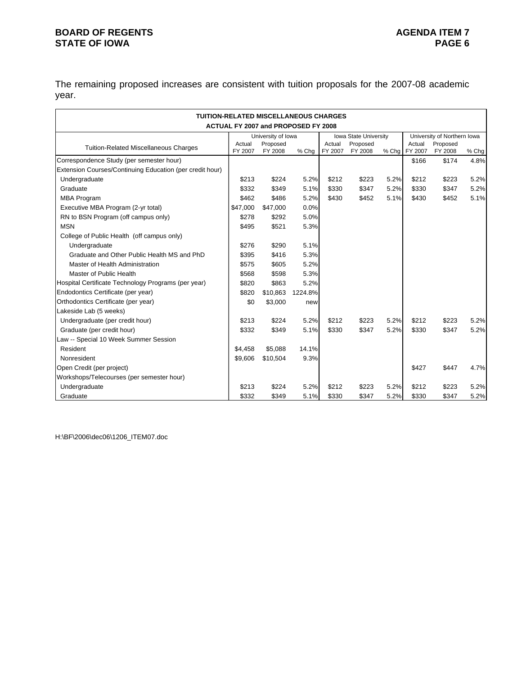## **BOARD OF REGENTS**<br> **BOARD OF REGENTS**<br> **BOARD OF IOWA**<br> **BOARD OF IOWA STATE OF IOWA**

The remaining proposed increases are consistent with tuition proposals for the 2007-08 academic year.

| <b>TUITION-RELATED MISCELLANEOUS CHARGES</b>             |                   |                                     |         |                   |                       |       |                             |                     |       |
|----------------------------------------------------------|-------------------|-------------------------------------|---------|-------------------|-----------------------|-------|-----------------------------|---------------------|-------|
|                                                          |                   | ACTUAL FY 2007 and PROPOSED FY 2008 |         |                   |                       |       |                             |                     |       |
|                                                          |                   | University of Iowa                  |         |                   | Iowa State University |       | University of Northern Iowa |                     |       |
| <b>Tuition-Related Miscellaneous Charges</b>             | Actual<br>FY 2007 | Proposed<br>FY 2008                 | % Chq   | Actual<br>FY 2007 | Proposed<br>FY 2008   | % Chq | Actual<br>FY 2007           | Proposed<br>FY 2008 | % Chg |
| Correspondence Study (per semester hour)                 |                   |                                     |         |                   |                       |       | \$166                       | \$174               | 4.8%  |
| Extension Courses/Continuing Education (per credit hour) |                   |                                     |         |                   |                       |       |                             |                     |       |
| Undergraduate                                            | \$213             | \$224                               | 5.2%    | \$212             | \$223                 | 5.2%  | \$212                       | \$223               | 5.2%  |
| Graduate                                                 | \$332             | \$349                               | 5.1%    | \$330             | \$347                 | 5.2%  | \$330                       | \$347               | 5.2%  |
| <b>MBA Program</b>                                       | \$462             | \$486                               | 5.2%    | \$430             | \$452                 | 5.1%  | \$430                       | \$452               | 5.1%  |
| Executive MBA Program (2-yr total)                       | \$47,000          | \$47,000                            | 0.0%    |                   |                       |       |                             |                     |       |
| RN to BSN Program (off campus only)                      | \$278             | \$292                               | 5.0%    |                   |                       |       |                             |                     |       |
| <b>MSN</b>                                               | \$495             | \$521                               | 5.3%    |                   |                       |       |                             |                     |       |
| College of Public Health (off campus only)               |                   |                                     |         |                   |                       |       |                             |                     |       |
| Undergraduate                                            | \$276             | \$290                               | 5.1%    |                   |                       |       |                             |                     |       |
| Graduate and Other Public Health MS and PhD              | \$395             | \$416                               | 5.3%    |                   |                       |       |                             |                     |       |
| Master of Health Administration                          | \$575             | \$605                               | 5.2%    |                   |                       |       |                             |                     |       |
| Master of Public Health                                  | \$568             | \$598                               | 5.3%    |                   |                       |       |                             |                     |       |
| Hospital Certificate Technology Programs (per year)      | \$820             | \$863                               | 5.2%    |                   |                       |       |                             |                     |       |
| Endodontics Certificate (per year)                       | \$820             | \$10,863                            | 1224.8% |                   |                       |       |                             |                     |       |
| Orthodontics Certificate (per year)                      | \$0               | \$3,000                             | new     |                   |                       |       |                             |                     |       |
| Lakeside Lab (5 weeks)                                   |                   |                                     |         |                   |                       |       |                             |                     |       |
| Undergraduate (per credit hour)                          | \$213             | \$224                               | 5.2%    | \$212             | \$223                 | 5.2%  | \$212                       | \$223               | 5.2%  |
| Graduate (per credit hour)                               | \$332             | \$349                               | 5.1%    | \$330             | \$347                 | 5.2%  | \$330                       | \$347               | 5.2%  |
| Law -- Special 10 Week Summer Session                    |                   |                                     |         |                   |                       |       |                             |                     |       |
| Resident                                                 | \$4,458           | \$5.088                             | 14.1%   |                   |                       |       |                             |                     |       |
| Nonresident                                              | \$9,606           | \$10,504                            | 9.3%    |                   |                       |       |                             |                     |       |
| Open Credit (per project)                                |                   |                                     |         |                   |                       |       | \$427                       | \$447               | 4.7%  |
| Workshops/Telecourses (per semester hour)                |                   |                                     |         |                   |                       |       |                             |                     |       |
| Undergraduate                                            | \$213             | \$224                               | 5.2%    | \$212             | \$223                 | 5.2%  | \$212                       | \$223               | 5.2%  |
| Graduate                                                 | \$332             | \$349                               | 5.1%    | \$330             | \$347                 | 5.2%  | \$330                       | \$347               | 5.2%  |

H:\BF\2006\dec06\1206\_ITEM07.doc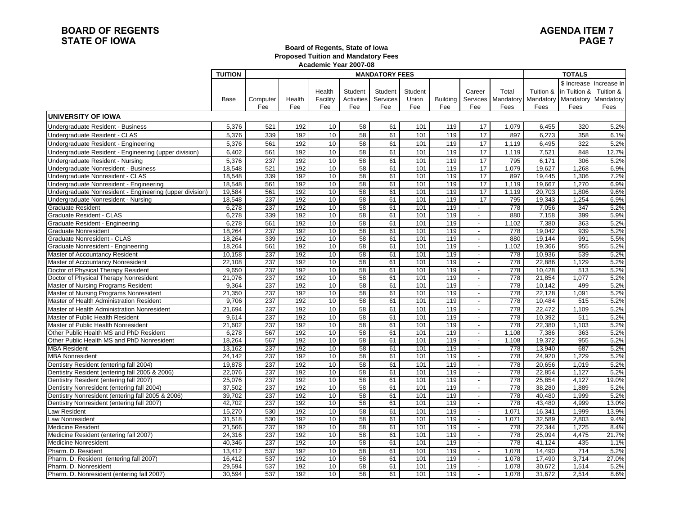#### **Board of Regents, State of Iowa Proposed Tuition and Mandatory Fees Academic Year 2007-08**

|                                                          | <b>TUITION</b> |          |        | Academic Teal 2007-00 |            |                       |         |                 |                          |                    | <b>TOTALS</b> |                                   |                         |
|----------------------------------------------------------|----------------|----------|--------|-----------------------|------------|-----------------------|---------|-----------------|--------------------------|--------------------|---------------|-----------------------------------|-------------------------|
|                                                          |                |          |        |                       |            | <b>MANDATORY FEES</b> |         |                 |                          |                    |               |                                   |                         |
|                                                          |                |          |        |                       |            |                       |         |                 |                          |                    |               |                                   | \$ Increase Increase In |
|                                                          |                |          |        | Health                | Student    | Student               | Student |                 | Career                   | Total              | Tuition &     | in Tuition &                      | Tuition &               |
|                                                          | Base           | Computer | Health | Facility              | Activities | Services              | Union   | <b>Building</b> |                          | Services Mandatory |               | Mandatory   Mandatory   Mandatory |                         |
|                                                          |                | Fee      | Fee    | Fee                   | Fee        | Fee                   | Fee     | Fee             | Fee                      | Fees               | Fees          | Fees                              | Fees                    |
| <b>UNIVERSITY OF IOWA</b>                                |                |          |        |                       |            |                       |         |                 |                          |                    |               |                                   |                         |
| Undergraduate Resident - Business                        | 5,376          | 521      | 192    | 10                    | 58         | 61                    | 101     | 119             | 17                       | 1,079              | 6,455         | 320                               | 5.2%                    |
| Undergraduate Resident - CLAS                            | 5,376          | 339      | 192    | 10                    | 58         | 61                    | 101     | 119             | 17                       | 897                | 6,273         | 358                               | 6.1%                    |
| Undergraduate Resident - Engineering                     | 5,376          | 561      | 192    | 10                    | 58         | 61                    | 101     | 119             | 17                       | 1,119              | 6,495         | 322                               | 5.2%                    |
| Undergraduate Resident - Engineering (upper division)    | 6,402          | 561      | 192    | 10                    | 58         | 61                    | 101     | 119             | 17                       | 1,119              | 7,521         | 848                               | 12.7%                   |
| Undergraduate Resident - Nursing                         | 5,376          | 237      | 192    | 10                    | 58         | 61                    | 101     | 119             | 17                       | 795                | 6,171         | 306                               | 5.2%                    |
| Undergraduate Nonresident - Business                     | 18,548         | 521      | 192    | 10                    | 58         | 61                    | 101     | 119             | 17                       | 1,079              | 19,627        | 1,268                             | 6.9%                    |
| Undergraduate Nonresident - CLAS                         | 18,548         | 339      | 192    | 10                    | 58         | 61                    | 101     | 119             | 17                       | 897                | 19,445        | 1,306                             | 7.2%                    |
| Undergraduate Nonresident - Engineering                  | 18,548         | 561      | 192    | 10                    | 58         | 61                    | 101     | 119             | 17                       | 1,119              | 19,667        | 1,270                             | 6.9%                    |
| Undergraduate Nonresident - Engineering (upper division) | 19,584         | 561      | 192    | 10                    | 58         | 61                    | 101     | 119             | 17                       | 1,119              | 20,703        | 1,806                             | 9.6%                    |
| Undergraduate Nonresident - Nursing                      | 18,548         | 237      | 192    | 10                    | 58         | 61                    | 101     | 119             | 17                       | 795                | 19,343        | 1,254                             | 6.9%                    |
| <b>Graduate Resident</b>                                 | 6,278          | 237      | 192    | 10                    | 58         | 61                    | 101     | 119             | $\overline{\phantom{a}}$ | 778                | 7,056         | 347                               | 5.2%                    |
| Graduate Resident - CLAS                                 | 6,278          | 339      | 192    | 10                    | 58         | 61                    | 101     | 119             | $\overline{\phantom{a}}$ | 880                | 7,158         | 399                               | 5.9%                    |
| Graduate Resident - Engineering                          | 6,278          | 561      | 192    | 10                    | 58         | 61                    | 101     | 119             | $\overline{\phantom{a}}$ | 1,102              | 7,380         | 363                               | 5.2%                    |
| <b>Graduate Nonresident</b>                              | 18,264         | 237      | 192    | 10                    | 58         | 61                    | 101     | 119             | $\blacksquare$           | 778                | 19,042        | 939                               | 5.2%                    |
| Graduate Nonresident - CLAS                              | 18.264         | 339      | 192    | 10                    | 58         | 61                    | 101     | 119             | $\frac{1}{2}$            | 880                | 19,144        | 991                               | 5.5%                    |
| Graduate Nonresident - Engineering                       | 18,264         | 561      | 192    | 10                    | 58         | 61                    | 101     | 119             | $\sim$                   | 1,102              | 19,366        | 955                               | 5.2%                    |
| Master of Accountancy Resident                           | 10,158         | 237      | 192    | 10                    | 58         | 61                    | 101     | 119             | $\blacksquare$           | 778                | 10,936        | 539                               | 5.2%                    |
| Master of Accountancy Nonresident                        | 22,108         | 237      | 192    | 10                    | 58         | 61                    | 101     | 119             | $\blacksquare$           | 778                | 22,886        | 1,129                             | 5.2%                    |
| Doctor of Physical Therapy Resident                      | 9,650          | 237      | 192    | 10                    | 58         | 61                    | 101     | 119             | $\overline{\phantom{a}}$ | 778                | 10,428        | 513                               | 5.2%                    |
| Doctor of Physical Therapy Nonresident                   | 21,076         | 237      | 192    | 10                    | 58         | 61                    | 101     | 119             | $\overline{\phantom{a}}$ | 778                | 21,854        | 1,077                             | 5.2%                    |
| Master of Nursing Programs Resident                      | 9.364          | 237      | 192    | 10                    | 58         | 61                    | 101     | 119             | $\blacksquare$           | 778                | 10.142        | 499                               | 5.2%                    |
| Master of Nursing Programs Nonresident                   | 21,350         | 237      | 192    | 10                    | 58         | 61                    | 101     | 119             | $\overline{\phantom{a}}$ | 778                | 22,128        | 1,091                             | 5.2%                    |
| Master of Health Administration Resident                 | 9,706          | 237      | 192    | 10                    | 58         | 61                    | 101     | 119             | $\overline{\phantom{a}}$ | 778                | 10,484        | 515                               | 5.2%                    |
| Master of Health Administration Nonresident              | 21,694         | 237      | 192    | 10                    | 58         | 61                    | 101     | 119             | $\blacksquare$           | 778                | 22,472        | 1,109                             | 5.2%                    |
| Master of Public Health Resident                         | 9,614          | 237      | 192    | 10                    | 58         | 61                    | 101     | 119             | $\sim$                   | 778                | 10,392        | 511                               | 5.2%                    |
| Master of Public Health Nonresident                      | 21,602         | 237      | 192    | 10                    | 58         | 61                    | 101     | 119             | $\blacksquare$           | 778                | 22,380        | 1,103                             | 5.2%                    |
| Other Public Health MS and PhD Resident                  | 6,278          | 567      | 192    | 10                    | 58         | 61                    | 101     | 119             | $\overline{\phantom{a}}$ | 1,108              | 7,386         | 363                               | 5.2%                    |
| Other Public Health MS and PhD Nonresident               | 18,264         | 567      | 192    | 10                    | 58         | 61                    | 101     | 119             | $\blacksquare$           | 1,108              | 19,372        | 955                               | 5.2%                    |
| <b>MBA Resident</b>                                      | 13.162         | 237      | 192    | 10                    | 58         | 61                    | 101     | 119             | $\overline{\phantom{a}}$ | 778                | 13,940        | 687                               | 5.2%                    |
| <b>MBA Nonresident</b>                                   | 24,142         | 237      | 192    | 10                    | 58         | 61                    | 101     | 119             | $\overline{\phantom{a}}$ | 778                | 24,920        | 1,229                             | 5.2%                    |
| Dentistry Resident (entering fall 2004)                  | 19,878         | 237      | 192    | 10                    | 58         | 61                    | 101     | 119             | $\overline{\phantom{a}}$ | 778                | 20,656        | 1,019                             | 5.2%                    |
| Dentistry Resident (entering fall 2005 & 2006)           | 22,076         | 237      | 192    | 10                    | 58         | 61                    | 101     | 119             | $\sim$                   | 778                | 22,854        | 1,127                             | 5.2%                    |
| Dentistry Resident (entering fall 2007)                  | 25,076         | 237      | 192    | 10                    | 58         | 61                    | 101     | 119             | $\overline{\phantom{a}}$ | 778                | 25,854        | 4,127                             | 19.0%                   |
| Dentistry Nonresident (entering fall 2004)               | 37,502         | 237      | 192    | 10                    | 58         | 61                    | 101     | 119             | $\overline{\phantom{a}}$ | 778                | 38,280        | 1,889                             | 5.2%                    |
| Dentistry Nonresident (entering fall 2005 & 2006)        | 39,702         | 237      | 192    | 10                    | 58         | 61                    | 101     | 119             |                          | 778                | 40,480        | 1,999                             | 5.2%                    |
| Dentistry Nonresident (entering fall 2007)               | 42,702         | 237      | 192    | 10                    | 58         | 61                    | 101     | 119             | $\blacksquare$           | 778                | 43,480        | 4,999                             | 13.0%                   |
| Law Resident                                             | 15,270         | 530      | 192    | 10                    | 58         | 61                    | 101     | 119             | $\blacksquare$           | 1,071              | 16,341        | 1,999                             | 13.9%                   |
| Law Nonresident                                          | 31,518         | 530      | 192    | 10                    | 58         | 61                    | 101     | 119             | $\overline{\phantom{a}}$ | 1,071              | 32,589        | 2,803                             | 9.4%                    |
| <b>Medicine Resident</b>                                 | 21,566         | 237      | 192    | 10                    | 58         | 61                    | 101     | 119             | $\sim$                   | 778                | 22,344        | 1,725                             | 8.4%                    |
| Medicine Resident (entering fall 2007)                   | 24,316         | 237      | 192    | 10                    | 58         | 61                    | 101     | 119             | $\overline{\phantom{a}}$ | 778                | 25,094        | 4,475                             | 21.7%                   |
| <b>Medicine Nonresident</b>                              | 40,346         | 237      | 192    | 10                    | 58         | 61                    | 101     | 119             | $\overline{\phantom{a}}$ | 778                | 41,124        | 435                               | 1.1%                    |
| Pharm. D. Resident                                       | 13,412         | 537      | 192    | 10                    | 58         | 61                    | 101     | 119             | $\overline{\phantom{a}}$ | 1,078              | 14,490        | 714                               | 5.2%                    |
| Pharm. D. Resident (entering fall 2007)                  | 16,412         | 537      | 192    | 10                    | 58         | 61                    | 101     | 119             | $\overline{a}$           | 1,078              | 17,490        | 3,714                             | 27.0%                   |
| Pharm. D. Nonresident                                    | 29.594         | 537      | 192    | 10                    | 58         | 61                    | 101     | 119             | $\blacksquare$           | 1.078              | 30.672        | 1.514                             | 5.2%                    |
| Pharm. D. Nonresident (entering fall 2007)               | 30,594         | 537      | 192    | 10 <sup>°</sup>       | 58         | 61                    | 101     | 119             | $\overline{\phantom{a}}$ | 1,078              | 31,672        | 2,514                             | 8.6%                    |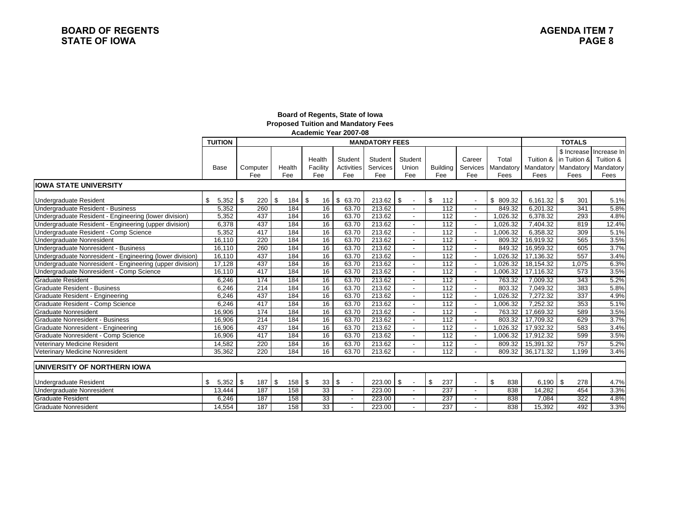#### **Board of Regents, State of Iowa Proposed Tuition and Mandatory Fees Academic Year 2007-08**

|                                                          | <b>TUITION</b> | <b>MANDATORY FEES</b> |           |                 |              |             |                                | <b>TOTALS</b>    |                          |           |            |                     |                  |
|----------------------------------------------------------|----------------|-----------------------|-----------|-----------------|--------------|-------------|--------------------------------|------------------|--------------------------|-----------|------------|---------------------|------------------|
|                                                          |                |                       |           |                 |              |             |                                |                  |                          |           |            | \$ Increase         | Increase In      |
|                                                          |                |                       |           | Health          | Student      | Student     | Student                        |                  | Career                   | Total     | Tuition &  | lin Tuition &       | Tuition &        |
|                                                          | Base           | Computer              | Health    | Facility        | Activities   | Services    | Union                          | <b>Building</b>  | Services                 | Mandatory |            | Mandatory Mandatory | <b>Mandatory</b> |
|                                                          |                | Fee                   | Fee       | Fee             | Fee          | Fee         | Fee                            | Fee              | Fee                      | Fees      | Fees       | Fees                | Fees             |
| <b>IOWA STATE UNIVERSITY</b>                             |                |                       |           |                 |              |             |                                |                  |                          |           |            |                     |                  |
| Undergraduate Resident                                   | \$<br>5,352    | \$<br>220             | \$<br>184 | \$<br>16        | \$63.70      | $213.62$ \$ |                                | \$<br>112        |                          | \$ 809.32 |            | 301                 | 5.1%             |
| Undergraduate Resident - Business                        | 5,352          | 260                   | 184       | 16              | 63.70        | 213.62      |                                | 112              |                          | 849.32    | 6.201.32   | 341                 | 5.8%             |
| Undergraduate Resident - Engineering (lower division)    | 5,352          | 437                   | 184       | 16              | 63.70        | 213.62      |                                | 112              |                          | 1.026.32  | 6.378.32   | 293                 | 4.8%             |
| Undergraduate Resident - Engineering (upper division)    | 6,378          | 437                   | 184       | 16              | 63.70        | 213.62      | $\overline{\phantom{a}}$       | 112              | $\overline{a}$           | 1,026.32  | 7,404.32   | 819                 | 12.4%            |
| Undergraduate Resident - Comp Science                    | 5,352          | 417                   | 184       | 16              | 63.70        | 213.62      | $\sim$                         | 112              |                          | 1.006.32  | 6,358.32   | 309                 | 5.1%             |
| Undergraduate Nonresident                                | 16,110         | 220                   | 184       | 16              | 63.70        | 213.62      | $\sim$                         | 112              |                          | 809.32    | 16,919.32  | 565                 | 3.5%             |
| Undergraduate Nonresident - Business                     | 16,110         | 260                   | 184       | 16              | 63.70        | 213.62      |                                | 112              |                          | 849.32    | 16,959.32  | 605                 | 3.7%             |
| Undergraduate Nonresident - Engineering (lower division) | 16,110         | 437                   | 184       | 16              | 63.70        | 213.62      |                                | 112              |                          | 1,026.32  | 17,136.32  | 557                 | 3.4%             |
| Undergraduate Nonresident - Engineering (upper division) | 17,128         | 437                   | 184       | 16              | 63.70        | 213.62      |                                | 112              |                          | 1,026.32  | 18,154.32  | 1,075               | 6.3%             |
| Undergraduate Nonresident - Comp Science                 | 16,110         | 417                   | 184       | 16              | 63.70        | 213.62      | $\overline{\phantom{a}}$       | $\overline{112}$ | $\blacksquare$           | 1,006.32  | 17,116.32  | 573                 | 3.5%             |
| Graduate Resident                                        | 6.246          | 174                   | 184       | 16              | 63.70        | 213.62      |                                | 112              | $\sim$                   | 763.32    | 7.009.32   | 343                 | 5.2%             |
| <b>Graduate Resident - Business</b>                      | 6.246          | 214                   | 184       | 16              | 63.70        | 213.62      |                                | 112              |                          | 803.32    | 7,049.32   | 383                 | 5.8%             |
| Graduate Resident - Engineering                          | 6,246          | 437                   | 184       | 16              | 63.70        | 213.62      | $\overline{\phantom{a}}$       | 112              |                          | 1,026.32  | 7,272.32   | 337                 | 4.9%             |
| Graduate Resident - Comp Science                         | 6,246          | 417                   | 184       | 16              | 63.70        | 213.62      |                                | 112              |                          | 1,006.32  | 7.252.32   | 353                 | 5.1%             |
| <b>Graduate Nonresident</b>                              | 16,906         | 174                   | 184       | 16              | 63.70        | 213.62      |                                | 112              | $\blacksquare$           | 763.32    | 17,669.32  | 589                 | 3.5%             |
| <b>Graduate Nonresident - Business</b>                   | 16,906         | 214                   | 184       | 16              | 63.70        | 213.62      | $\overline{\phantom{a}}$       | 112              |                          | 803.32    | 17,709.32  | 629                 | 3.7%             |
| Graduate Nonresident - Engineering                       | 16,906         | 437                   | 184       | 16              | 63.70        | 213.62      | $\sim$                         | 112              |                          | 1,026.32  | 17,932.32  | 583                 | 3.4%             |
| Graduate Nonresident - Comp Science                      | 16,906         | 417                   | 184       | 16              | 63.70        | 213.62      |                                | 112              |                          | 1,006.32  | 17,912.32  | 599                 | 3.5%             |
| Veterinary Medicine Resident                             | 14,582         | 220                   | 184       | 16              | 63.70        | 213.62      |                                | 112              |                          | 809.32    | 15,391.32  | 757                 | 5.2%             |
| Veterinary Medicine Nonresident                          | 35,362         | 220                   | 184       | 16              | 63.70        | 213.62      |                                | 112              |                          | 809.32    | 36,171.32  | 1.199               | 3.4%             |
|                                                          |                |                       |           |                 |              |             |                                |                  |                          |           |            |                     |                  |
| UNIVERSITY OF NORTHERN IOWA                              |                |                       |           |                 |              |             |                                |                  |                          |           |            |                     |                  |
| Undergraduate Resident                                   | \$<br>5,352    | \$<br>187             | \$<br>158 | \$<br>33        | \$<br>$\sim$ | 223.00      | \$<br>$\overline{\phantom{a}}$ | \$<br>237        | $\overline{\phantom{a}}$ | \$<br>838 | $6,190$ \$ | 278                 | 4.7%             |
| Undergraduate Nonresident                                | 13,444         | 187                   | 158       | 33              |              | 223.00      |                                | 237              |                          | 838       | 14,282     | 454                 | 3.3%             |
| Graduate Resident                                        | 6,246          | 187                   | 158       | 33 <sup>2</sup> |              | 223.00      |                                | 237              |                          | 838       | 7,084      | 322                 | 4.8%             |
| Graduate Nonresident                                     | 14,554         | 187                   | 158       | 33              |              | 223.00      |                                | 237              |                          | 838       | 15,392     | 492                 | 3.3%             |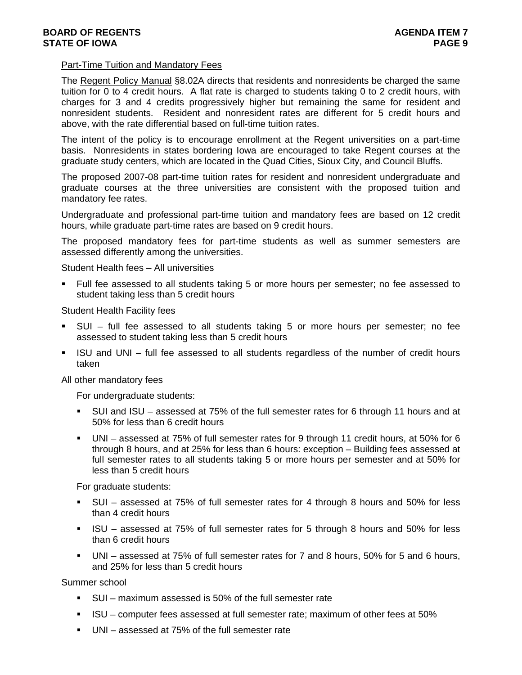### Part-Time Tuition and Mandatory Fees

The Regent Policy Manual §8.02A directs that residents and nonresidents be charged the same tuition for 0 to 4 credit hours. A flat rate is charged to students taking 0 to 2 credit hours, with charges for 3 and 4 credits progressively higher but remaining the same for resident and nonresident students. Resident and nonresident rates are different for 5 credit hours and above, with the rate differential based on full-time tuition rates.

The intent of the policy is to encourage enrollment at the Regent universities on a part-time basis. Nonresidents in states bordering Iowa are encouraged to take Regent courses at the graduate study centers, which are located in the Quad Cities, Sioux City, and Council Bluffs.

The proposed 2007-08 part-time tuition rates for resident and nonresident undergraduate and graduate courses at the three universities are consistent with the proposed tuition and mandatory fee rates.

Undergraduate and professional part-time tuition and mandatory fees are based on 12 credit hours, while graduate part-time rates are based on 9 credit hours.

The proposed mandatory fees for part-time students as well as summer semesters are assessed differently among the universities.

Student Health fees – All universities

 Full fee assessed to all students taking 5 or more hours per semester; no fee assessed to student taking less than 5 credit hours

Student Health Facility fees

- SUI full fee assessed to all students taking 5 or more hours per semester; no fee assessed to student taking less than 5 credit hours
- ISU and UNI full fee assessed to all students regardless of the number of credit hours taken

All other mandatory fees

For undergraduate students:

- SUI and ISU assessed at 75% of the full semester rates for 6 through 11 hours and at 50% for less than 6 credit hours
- UNI assessed at 75% of full semester rates for 9 through 11 credit hours, at 50% for 6 through 8 hours, and at 25% for less than 6 hours: exception – Building fees assessed at full semester rates to all students taking 5 or more hours per semester and at 50% for less than 5 credit hours

For graduate students:

- SUI assessed at 75% of full semester rates for 4 through 8 hours and 50% for less than 4 credit hours
- ISU assessed at 75% of full semester rates for 5 through 8 hours and 50% for less than 6 credit hours
- UNI assessed at 75% of full semester rates for 7 and 8 hours, 50% for 5 and 6 hours, and 25% for less than 5 credit hours

Summer school

- SUI maximum assessed is 50% of the full semester rate
- ISU computer fees assessed at full semester rate; maximum of other fees at 50%
- UNI assessed at 75% of the full semester rate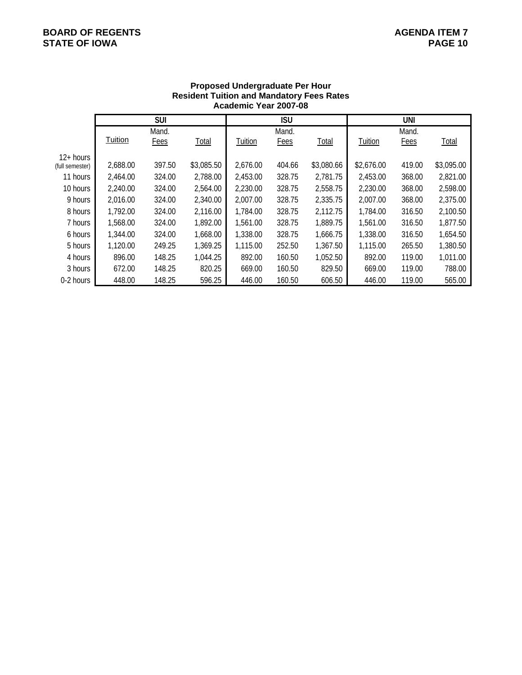# **BOARD OF REGENTS**<br> **BOARD OF REGENTS**<br> **BOARD OF IOWA**<br> **BOARD OF IOWA STATE OF IOWA**

|                 |                | <b>SUI</b> |            |          | <b>ISU</b> |            |            | UNI    |            |
|-----------------|----------------|------------|------------|----------|------------|------------|------------|--------|------------|
|                 |                | Mand.      |            |          | Mand.      |            |            | Mand.  |            |
|                 | <b>Tuition</b> | Fees       | Total      | Tuition  | Fees       | Total      | Tuition    | Fees   | Total      |
| $12+ hours$     |                |            |            |          |            |            |            |        |            |
| (full semester) | 2,688.00       | 397.50     | \$3,085.50 | 2,676.00 | 404.66     | \$3,080.66 | \$2,676.00 | 419.00 | \$3,095.00 |
| 11 hours        | 2.464.00       | 324.00     | 2,788.00   | 2,453.00 | 328.75     | 2,781.75   | 2,453.00   | 368.00 | 2,821.00   |
| 10 hours        | 2,240.00       | 324.00     | 2,564.00   | 2,230.00 | 328.75     | 2,558.75   | 2,230.00   | 368.00 | 2,598.00   |
| 9 hours         | 2,016.00       | 324.00     | 2,340.00   | 2,007.00 | 328.75     | 2,335.75   | 2,007.00   | 368.00 | 2,375.00   |
| 8 hours         | 1,792.00       | 324.00     | 2,116.00   | 1,784.00 | 328.75     | 2,112.75   | 1,784.00   | 316.50 | 2,100.50   |
| 7 hours         | 1,568.00       | 324.00     | 1,892.00   | 1,561.00 | 328.75     | 1,889.75   | 1,561.00   | 316.50 | 1,877.50   |
| 6 hours         | 1,344.00       | 324.00     | 1,668.00   | 1,338.00 | 328.75     | 1,666.75   | 1,338.00   | 316.50 | 1,654.50   |
| 5 hours         | 1,120.00       | 249.25     | 1,369.25   | 1,115.00 | 252.50     | 1,367.50   | 1,115.00   | 265.50 | 1,380.50   |
| 4 hours         | 896.00         | 148.25     | 1,044.25   | 892.00   | 160.50     | 1,052.50   | 892.00     | 119.00 | 1,011.00   |
| 3 hours         | 672.00         | 148.25     | 820.25     | 669.00   | 160.50     | 829.50     | 669.00     | 119.00 | 788.00     |
| 0-2 hours       | 448.00         | 148.25     | 596.25     | 446.00   | 160.50     | 606.50     | 446.00     | 119.00 | 565.00     |

### **Proposed Undergraduate Per Hour Resident Tuition and Mandatory Fees Rates Academic Year 2007-08**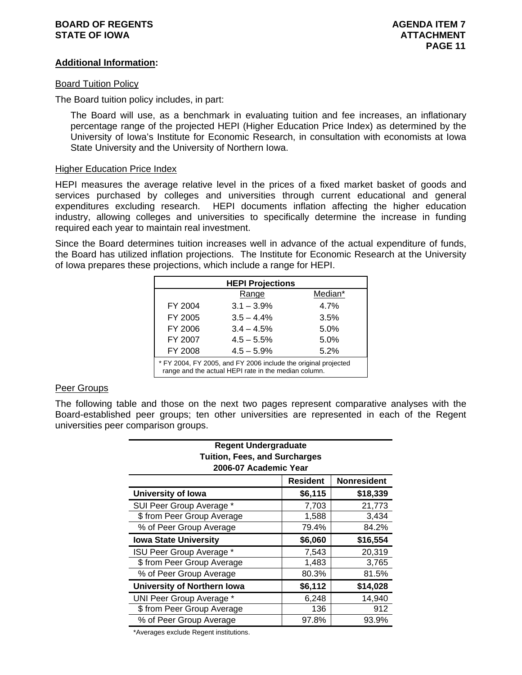### **BOARD OF REGENTS AGENUAL LIMIT CONSUMING A SERIES AGENDA ITEM 7 STATE OF IOWA ATTACHMENT ATTACHMENT**

### **Additional Information:**

### Board Tuition Policy

The Board tuition policy includes, in part:

The Board will use, as a benchmark in evaluating tuition and fee increases, an inflationary percentage range of the projected HEPI (Higher Education Price Index) as determined by the University of Iowa's Institute for Economic Research, in consultation with economists at Iowa State University and the University of Northern Iowa.

### Higher Education Price Index

HEPI measures the average relative level in the prices of a fixed market basket of goods and services purchased by colleges and universities through current educational and general expenditures excluding research. HEPI documents inflation affecting the higher education industry, allowing colleges and universities to specifically determine the increase in funding required each year to maintain real investment.

Since the Board determines tuition increases well in advance of the actual expenditure of funds, the Board has utilized inflation projections. The Institute for Economic Research at the University of Iowa prepares these projections, which include a range for HEPI.

| <b>HEPI Projections</b>         |                                                                                                                        |         |  |  |  |  |  |  |
|---------------------------------|------------------------------------------------------------------------------------------------------------------------|---------|--|--|--|--|--|--|
|                                 | Range                                                                                                                  | Median* |  |  |  |  |  |  |
| FY 2004                         | $3.1 - 3.9\%$                                                                                                          | 4.7%    |  |  |  |  |  |  |
| FY 2005                         | $3.5 - 4.4\%$                                                                                                          | 3.5%    |  |  |  |  |  |  |
| FY 2006                         | $3.4 - 4.5%$                                                                                                           | 5.0%    |  |  |  |  |  |  |
| FY 2007                         | $4.5 - 5.5%$                                                                                                           | 5.0%    |  |  |  |  |  |  |
| FY 2008<br>$4.5 - 5.9%$<br>5.2% |                                                                                                                        |         |  |  |  |  |  |  |
|                                 | * FY 2004, FY 2005, and FY 2006 include the original projected<br>range and the actual HEPI rate in the median column. |         |  |  |  |  |  |  |

### Peer Groups

The following table and those on the next two pages represent comparative analyses with the Board-established peer groups; ten other universities are represented in each of the Regent universities peer comparison groups.

| <b>Regent Undergraduate</b><br><b>Tuition, Fees, and Surcharges</b><br>2006-07 Academic Year |         |          |  |  |  |  |  |  |  |
|----------------------------------------------------------------------------------------------|---------|----------|--|--|--|--|--|--|--|
| <b>Resident</b><br><b>Nonresident</b>                                                        |         |          |  |  |  |  |  |  |  |
| University of Iowa                                                                           | \$6,115 | \$18,339 |  |  |  |  |  |  |  |
| SUI Peer Group Average *                                                                     | 7,703   | 21,773   |  |  |  |  |  |  |  |
| \$from Peer Group Average                                                                    | 1,588   | 3,434    |  |  |  |  |  |  |  |
| % of Peer Group Average                                                                      | 79.4%   | 84.2%    |  |  |  |  |  |  |  |
| <b>Iowa State University</b>                                                                 | \$6,060 | \$16,554 |  |  |  |  |  |  |  |
| ISU Peer Group Average *                                                                     | 7,543   | 20,319   |  |  |  |  |  |  |  |
| \$ from Peer Group Average                                                                   | 1,483   | 3,765    |  |  |  |  |  |  |  |
| % of Peer Group Average                                                                      | 80.3%   | 81.5%    |  |  |  |  |  |  |  |
| University of Northern Iowa                                                                  | \$6,112 | \$14,028 |  |  |  |  |  |  |  |
| UNI Peer Group Average *                                                                     | 6,248   | 14,940   |  |  |  |  |  |  |  |
| \$ from Peer Group Average                                                                   | 136     | 912      |  |  |  |  |  |  |  |
| % of Peer Group Average                                                                      | 97.8%   | 93.9%    |  |  |  |  |  |  |  |

\*Averages exclude Regent institutions.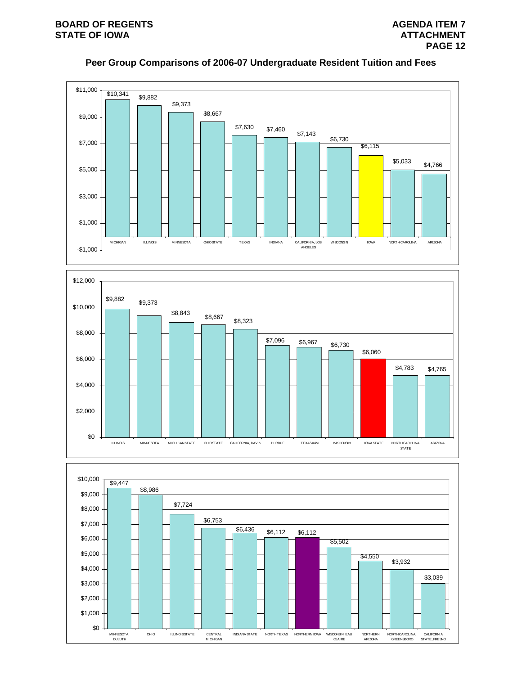# **Peer Group Comparisons of 2006-07 Undergraduate Resident Tuition and Fees**





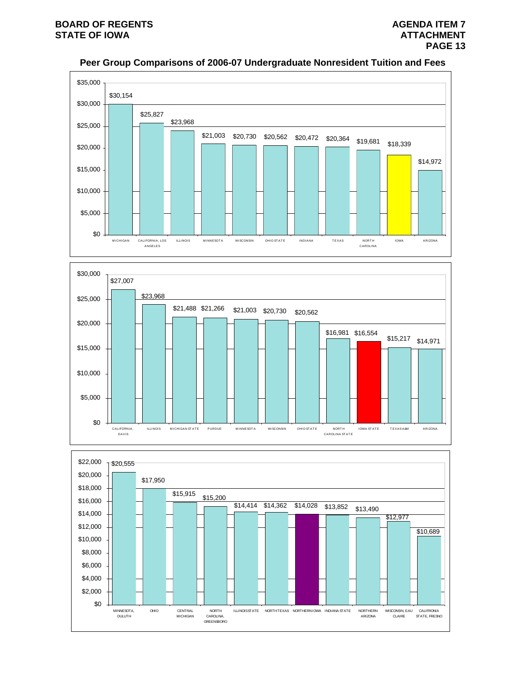

# **Peer Group Comparisons of 2006-07 Undergraduate Nonresident Tuition and Fees**